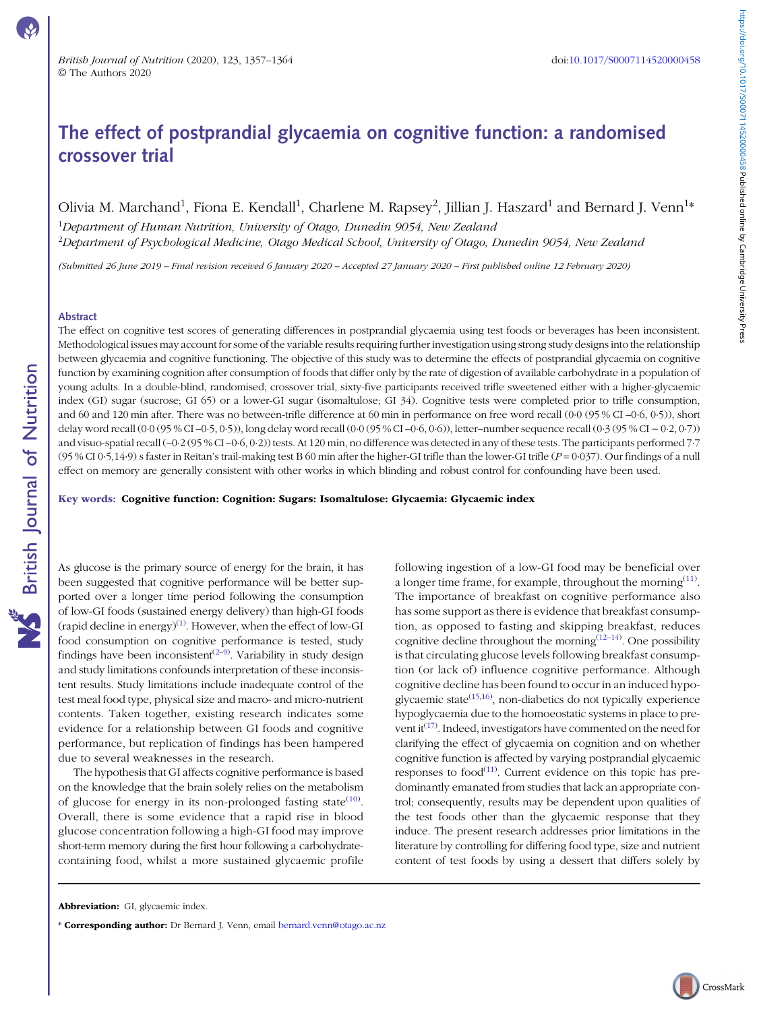# The effect of postprandial glycaemia on cognitive function: a randomised crossover trial

# Olivia M. Marchand<sup>1</sup>, Fiona E. Kendall<sup>1</sup>, Charlene M. Rapsey<sup>2</sup>, Jillian J. Haszard<sup>1</sup> and Bernard J. Venn<sup>1</sup>\*

 $^1$ Department of Human Nutrition, University of Otago, Dunedin 9054, New Zealand <sup>2</sup>Department of Psychological Medicine, Otago Medical School, University of Otago, Dunedin 9054, New Zealana

(Submitted 26 June 2019 – Final revision received 6 January 2020 – Accepted 27 January 2020 – First published online 12 February 2020)

#### Abstract

**NS** British Journal of Nutrition

The effect on cognitive test scores of generating differences in postprandial glycaemia using test foods or beverages has been inconsistent. Methodological issues may account for some of the variable results requiring further investigation using strong study designs into the relationship between glycaemia and cognitive functioning. The objective of this study was to determine the effects of postprandial glycaemia on cognitive function by examining cognition after consumption of foods that differ only by the rate of digestion of available carbohydrate in a population of young adults. In a double-blind, randomised, crossover trial, sixty-five participants received trifle sweetened either with a higher-glycaemic index (GI) sugar (sucrose; GI 65) or a lower-GI sugar (isomaltulose; GI 34). Cognitive tests were completed prior to trifle consumption, and 60 and 120 min after. There was no between-trifle difference at 60 min in performance on free word recall (0·0 (95 % CI –0·6, 0·5)), short delay word recall (0·0 (95 % CI –0·5, 0·5)), long delay word recall (0·0 (95 % CI –0·6, 0·6)), letter–number sequence recall (0·3 (95 % CI − 0·2, 0·7)) and visuo-spatial recall (–0·2 (95 % CI –0·6, 0·2)) tests. At 120 min, no difference was detected in any of these tests. The participants performed 7·7  $(95\%$  CI 0·5,14·9) s faster in Reitan's trail-making test B 60 min after the higher-GI trifle than the lower-GI trifle ( $P=0.037$ ). Our findings of a null effect on memory are generally consistent with other works in which blinding and robust control for confounding have been used.

Key words: Cognitive function: Cognition: Sugars: Isomaltulose: Glycaemia: Glycaemic index

As glucose is the primary source of energy for the brain, it has been suggested that cognitive performance will be better supported over a longer time period following the consumption of low-GI foods (sustained energy delivery) than high-GI foods (rapid decline in energy) $^{(1)}$  $^{(1)}$  $^{(1)}$ . However, when the effect of low-GI food consumption on cognitive performance is tested, study findings have been inconsistent<sup>[\(2](#page-6-0)-[9](#page-6-0))</sup>. Variability in study design and study limitations confounds interpretation of these inconsistent results. Study limitations include inadequate control of the test meal food type, physical size and macro- and micro-nutrient contents. Taken together, existing research indicates some evidence for a relationship between GI foods and cognitive performance, but replication of findings has been hampered due to several weaknesses in the research.

The hypothesis that GI affects cognitive performance is based on the knowledge that the brain solely relies on the metabolism of glucose for energy in its non-prolonged fasting state<sup>([10\)](#page-6-0)</sup>. Overall, there is some evidence that a rapid rise in blood glucose concentration following a high-GI food may improve short-term memory during the first hour following a carbohydratecontaining food, whilst a more sustained glycaemic profile

following ingestion of a low-GI food may be beneficial over a longer time frame, for example, throughout the morning  $(11)$ . The importance of breakfast on cognitive performance also has some support as there is evidence that breakfast consumption, as opposed to fasting and skipping breakfast, reduces cognitive decline throughout the morning  $(12-14)$  $(12-14)$  $(12-14)$ . One possibility is that circulating glucose levels following breakfast consumption (or lack of) influence cognitive performance. Although cognitive decline has been found to occur in an induced hypo-glycaemic state<sup>[\(15,16](#page-6-0))</sup>, non-diabetics do not typically experience hypoglycaemia due to the homoeostatic systems in place to pre-vent it<sup>([17](#page-6-0))</sup>. Indeed, investigators have commented on the need for clarifying the effect of glycaemia on cognition and on whether cognitive function is affected by varying postprandial glycaemic responses to food $^{(11)}$  $^{(11)}$  $^{(11)}$ . Current evidence on this topic has predominantly emanated from studies that lack an appropriate control; consequently, results may be dependent upon qualities of the test foods other than the glycaemic response that they induce. The present research addresses prior limitations in the literature by controlling for differing food type, size and nutrient content of test foods by using a dessert that differs solely by

Abbreviation: GI, glycaemic index.

<sup>\*</sup> Corresponding author: Dr Bernard J. Venn, email [bernard.venn@otago.ac.nz](mailto:bernard.venn@otago.ac.nz)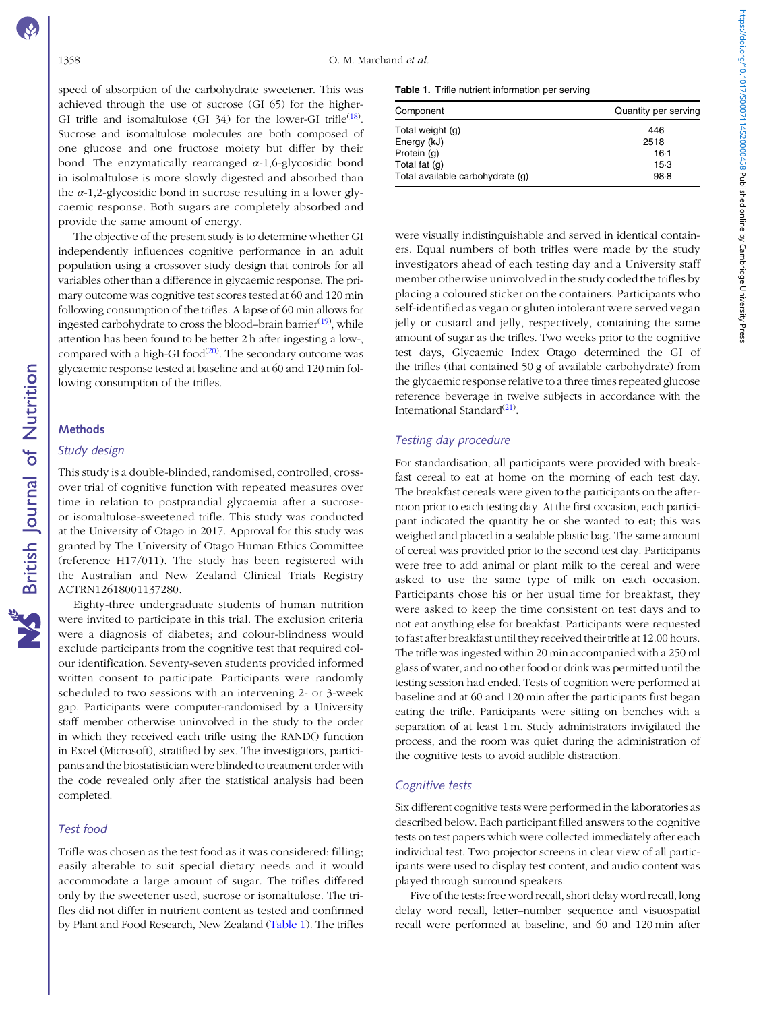speed of absorption of the carbohydrate sweetener. This was achieved through the use of sucrose (GI 65) for the higher-GI trifle and isomaltulose (GI 34) for the lower-GI trifle<sup>([18\)](#page-6-0)</sup>. Sucrose and isomaltulose molecules are both composed of one glucose and one fructose moiety but differ by their bond. The enzymatically rearranged  $\alpha$ -1,6-glycosidic bond in isolmaltulose is more slowly digested and absorbed than the  $\alpha$ -1,2-glycosidic bond in sucrose resulting in a lower glycaemic response. Both sugars are completely absorbed and provide the same amount of energy.

The objective of the present study is to determine whether GI independently influences cognitive performance in an adult population using a crossover study design that controls for all variables other than a difference in glycaemic response. The primary outcome was cognitive test scores tested at 60 and 120 min following consumption of the trifles. A lapse of 60 min allows for ingested carbohydrate to cross the blood–brain barrier<sup>([19\)](#page-6-0)</sup>, while attention has been found to be better 2 h after ingesting a low-, compared with a high-GI food $(20)$ . The secondary outcome was glycaemic response tested at baseline and at 60 and 120 min following consumption of the trifles.

### Methods

### Study design

This study is a double-blinded, randomised, controlled, crossover trial of cognitive function with repeated measures over time in relation to postprandial glycaemia after a sucroseor isomaltulose-sweetened trifle. This study was conducted at the University of Otago in 2017. Approval for this study was granted by The University of Otago Human Ethics Committee (reference H17/011). The study has been registered with the Australian and New Zealand Clinical Trials Registry ACTRN12618001137280.

Eighty-three undergraduate students of human nutrition were invited to participate in this trial. The exclusion criteria were a diagnosis of diabetes; and colour-blindness would exclude participants from the cognitive test that required colour identification. Seventy-seven students provided informed written consent to participate. Participants were randomly scheduled to two sessions with an intervening 2- or 3-week gap. Participants were computer-randomised by a University staff member otherwise uninvolved in the study to the order in which they received each trifle using the RAND() function in Excel (Microsoft), stratified by sex. The investigators, participants and the biostatistician were blinded to treatment order with the code revealed only after the statistical analysis had been completed.

#### Test food

Trifle was chosen as the test food as it was considered: filling; easily alterable to suit special dietary needs and it would accommodate a large amount of sugar. The trifles differed only by the sweetener used, sucrose or isomaltulose. The trifles did not differ in nutrient content as tested and confirmed by Plant and Food Research, New Zealand (Table 1). The trifles

Table 1. Trifle nutrient information per serving

| Component                        | Quantity per serving |
|----------------------------------|----------------------|
| Total weight (g)                 | 446                  |
| Energy (kJ)                      | 2518                 |
| Protein (g)                      | $16-1$               |
| Total fat (g)                    | $15-3$               |
| Total available carbohydrate (q) | $98-8$               |

were visually indistinguishable and served in identical containers. Equal numbers of both trifles were made by the study investigators ahead of each testing day and a University staff member otherwise uninvolved in the study coded the trifles by placing a coloured sticker on the containers. Participants who self-identified as vegan or gluten intolerant were served vegan jelly or custard and jelly, respectively, containing the same amount of sugar as the trifles. Two weeks prior to the cognitive test days, Glycaemic Index Otago determined the GI of the trifles (that contained 50 g of available carbohydrate) from the glycaemic response relative to a three times repeated glucose reference beverage in twelve subjects in accordance with the International Standard<sup>[\(21\)](#page-6-0)</sup>.

### Testing day procedure

For standardisation, all participants were provided with breakfast cereal to eat at home on the morning of each test day. The breakfast cereals were given to the participants on the afternoon prior to each testing day. At the first occasion, each participant indicated the quantity he or she wanted to eat; this was weighed and placed in a sealable plastic bag. The same amount of cereal was provided prior to the second test day. Participants were free to add animal or plant milk to the cereal and were asked to use the same type of milk on each occasion. Participants chose his or her usual time for breakfast, they were asked to keep the time consistent on test days and to not eat anything else for breakfast. Participants were requested to fast after breakfast until they received their trifle at 12.00 hours. The trifle was ingested within 20 min accompanied with a 250 ml glass of water, and no other food or drink was permitted until the testing session had ended. Tests of cognition were performed at baseline and at 60 and 120 min after the participants first began eating the trifle. Participants were sitting on benches with a separation of at least 1 m. Study administrators invigilated the process, and the room was quiet during the administration of the cognitive tests to avoid audible distraction.

### Cognitive tests

Six different cognitive tests were performed in the laboratories as described below. Each participant filled answers to the cognitive tests on test papers which were collected immediately after each individual test. Two projector screens in clear view of all participants were used to display test content, and audio content was played through surround speakers.

Five of the tests: free word recall, short delay word recall, long delay word recall, letter–number sequence and visuospatial recall were performed at baseline, and 60 and 120 min after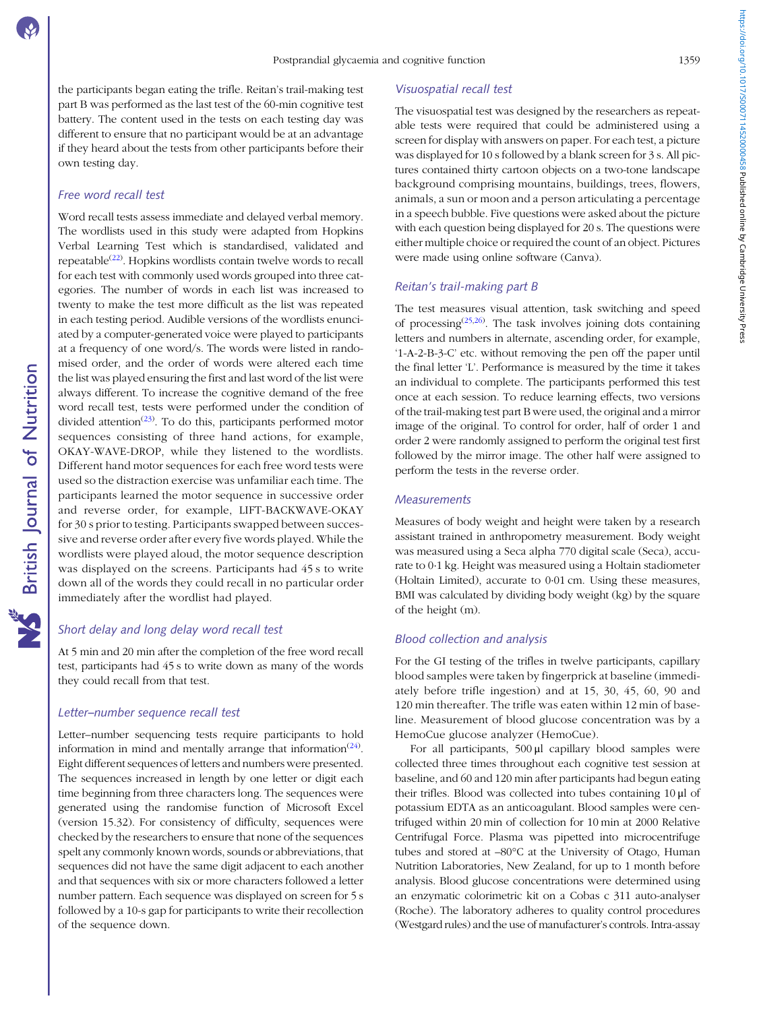the participants began eating the trifle. Reitan's trail-making test part B was performed as the last test of the 60-min cognitive test battery. The content used in the tests on each testing day was different to ensure that no participant would be at an advantage if they heard about the tests from other participants before their own testing day.

# Free word recall test

Word recall tests assess immediate and delayed verbal memory. The wordlists used in this study were adapted from Hopkins Verbal Learning Test which is standardised, validated and repeatable<sup>([22](#page-6-0))</sup>. Hopkins wordlists contain twelve words to recall for each test with commonly used words grouped into three categories. The number of words in each list was increased to twenty to make the test more difficult as the list was repeated in each testing period. Audible versions of the wordlists enunciated by a computer-generated voice were played to participants at a frequency of one word/s. The words were listed in randomised order, and the order of words were altered each time the list was played ensuring the first and last word of the list were always different. To increase the cognitive demand of the free word recall test, tests were performed under the condition of divided attention<sup>([23](#page-6-0))</sup>. To do this, participants performed motor sequences consisting of three hand actions, for example, OKAY-WAVE-DROP, while they listened to the wordlists. Different hand motor sequences for each free word tests were used so the distraction exercise was unfamiliar each time. The participants learned the motor sequence in successive order and reverse order, for example, LIFT-BACKWAVE-OKAY for 30 s prior to testing. Participants swapped between successive and reverse order after every five words played. While the wordlists were played aloud, the motor sequence description was displayed on the screens. Participants had 45 s to write down all of the words they could recall in no particular order immediately after the wordlist had played.

# Short delay and long delay word recall test

At 5 min and 20 min after the completion of the free word recall test, participants had 45 s to write down as many of the words they could recall from that test.

#### Letter–number sequence recall test

Letter–number sequencing tests require participants to hold information in mind and mentally arrange that information<sup> $(24)$  $(24)$ </sup>. Eight different sequences of letters and numbers were presented. The sequences increased in length by one letter or digit each time beginning from three characters long. The sequences were generated using the randomise function of Microsoft Excel (version 15.32). For consistency of difficulty, sequences were checked by the researchers to ensure that none of the sequences spelt any commonly known words, sounds or abbreviations, that sequences did not have the same digit adjacent to each another and that sequences with six or more characters followed a letter number pattern. Each sequence was displayed on screen for 5 s followed by a 10-s gap for participants to write their recollection of the sequence down.

#### Visuospatial recall test

The visuospatial test was designed by the researchers as repeatable tests were required that could be administered using a screen for display with answers on paper. For each test, a picture was displayed for 10 s followed by a blank screen for 3 s. All pictures contained thirty cartoon objects on a two-tone landscape background comprising mountains, buildings, trees, flowers, animals, a sun or moon and a person articulating a percentage in a speech bubble. Five questions were asked about the picture with each question being displayed for 20 s. The questions were either multiple choice or required the count of an object. Pictures were made using online software (Canva).

# Reitan's trail-making part B

The test measures visual attention, task switching and speed of processing<sup> $(25,26)$ </sup>. The task involves joining dots containing letters and numbers in alternate, ascending order, for example, '1-A-2-B-3-C' etc. without removing the pen off the paper until the final letter 'L'. Performance is measured by the time it takes an individual to complete. The participants performed this test once at each session. To reduce learning effects, two versions of the trail-making test part B were used, the original and a mirror image of the original. To control for order, half of order 1 and order 2 were randomly assigned to perform the original test first followed by the mirror image. The other half were assigned to perform the tests in the reverse order.

### **Measurements**

Measures of body weight and height were taken by a research assistant trained in anthropometry measurement. Body weight was measured using a Seca alpha 770 digital scale (Seca), accurate to 0·1 kg. Height was measured using a Holtain stadiometer (Holtain Limited), accurate to 0·01 cm. Using these measures, BMI was calculated by dividing body weight (kg) by the square of the height (m).

### Blood collection and analysis

For the GI testing of the trifles in twelve participants, capillary blood samples were taken by fingerprick at baseline (immediately before trifle ingestion) and at 15, 30, 45, 60, 90 and 120 min thereafter. The trifle was eaten within 12 min of baseline. Measurement of blood glucose concentration was by a HemoCue glucose analyzer (HemoCue).

For all participants, 500 μl capillary blood samples were collected three times throughout each cognitive test session at baseline, and 60 and 120 min after participants had begun eating their trifles. Blood was collected into tubes containing 10 μl of potassium EDTA as an anticoagulant. Blood samples were centrifuged within 20 min of collection for 10 min at 2000 Relative Centrifugal Force. Plasma was pipetted into microcentrifuge tubes and stored at –80°C at the University of Otago, Human Nutrition Laboratories, New Zealand, for up to 1 month before analysis. Blood glucose concentrations were determined using an enzymatic colorimetric kit on a Cobas c 311 auto-analyser (Roche). The laboratory adheres to quality control procedures (Westgard rules) and the use of manufacturer's controls. Intra-assay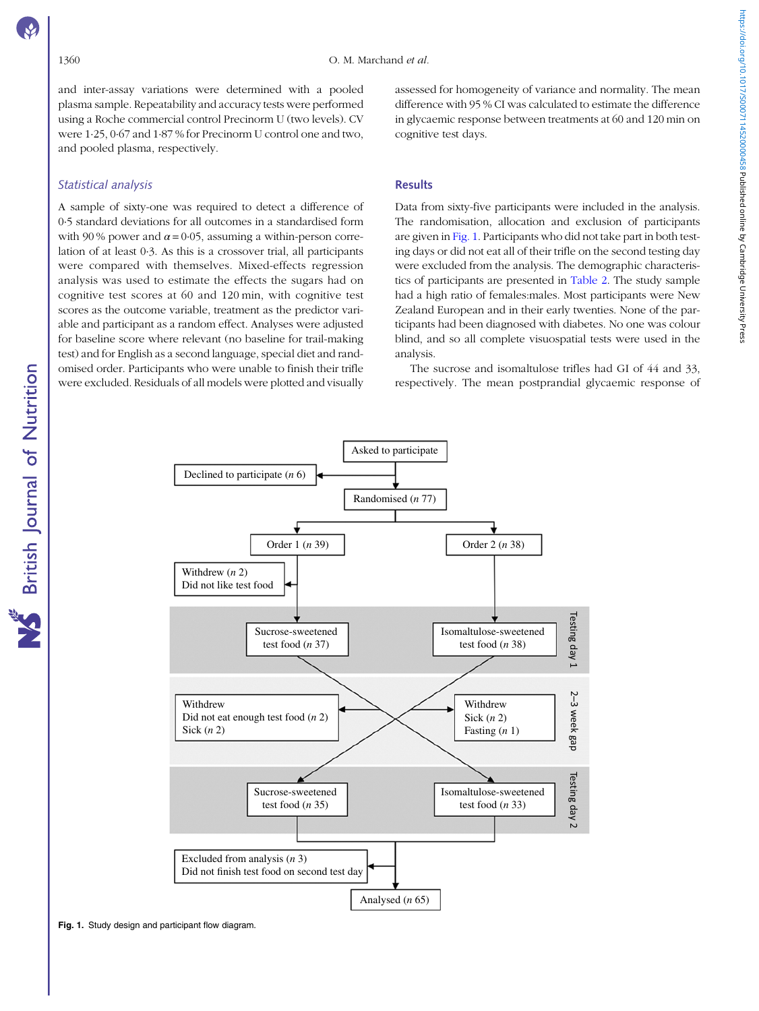and inter-assay variations were determined with a pooled plasma sample. Repeatability and accuracy tests were performed using a Roche commercial control Precinorm U (two levels). CV were 1·25, 0·67 and 1·87 % for Precinorm U control one and two, and pooled plasma, respectively.

### Statistical analysis

A sample of sixty-one was required to detect a difference of 0·5 standard deviations for all outcomes in a standardised form with 90 % power and  $\alpha$  = 0.05, assuming a within-person correlation of at least 0·3. As this is a crossover trial, all participants were compared with themselves. Mixed-effects regression analysis was used to estimate the effects the sugars had on cognitive test scores at 60 and 120 min, with cognitive test scores as the outcome variable, treatment as the predictor variable and participant as a random effect. Analyses were adjusted for baseline score where relevant (no baseline for trail-making test) and for English as a second language, special diet and randomised order. Participants who were unable to finish their trifle were excluded. Residuals of all models were plotted and visually assessed for homogeneity of variance and normality. The mean difference with 95 % CI was calculated to estimate the difference in glycaemic response between treatments at 60 and 120 min on cognitive test days.

#### **Results**

Data from sixty-five participants were included in the analysis. The randomisation, allocation and exclusion of participants are given in Fig. 1. Participants who did not take part in both testing days or did not eat all of their trifle on the second testing day were excluded from the analysis. The demographic characteristics of participants are presented in [Table 2.](#page-4-0) The study sample had a high ratio of females:males. Most participants were New Zealand European and in their early twenties. None of the participants had been diagnosed with diabetes. No one was colour blind, and so all complete visuospatial tests were used in the analysis.

The sucrose and isomaltulose trifles had GI of 44 and 33, respectively. The mean postprandial glycaemic response of

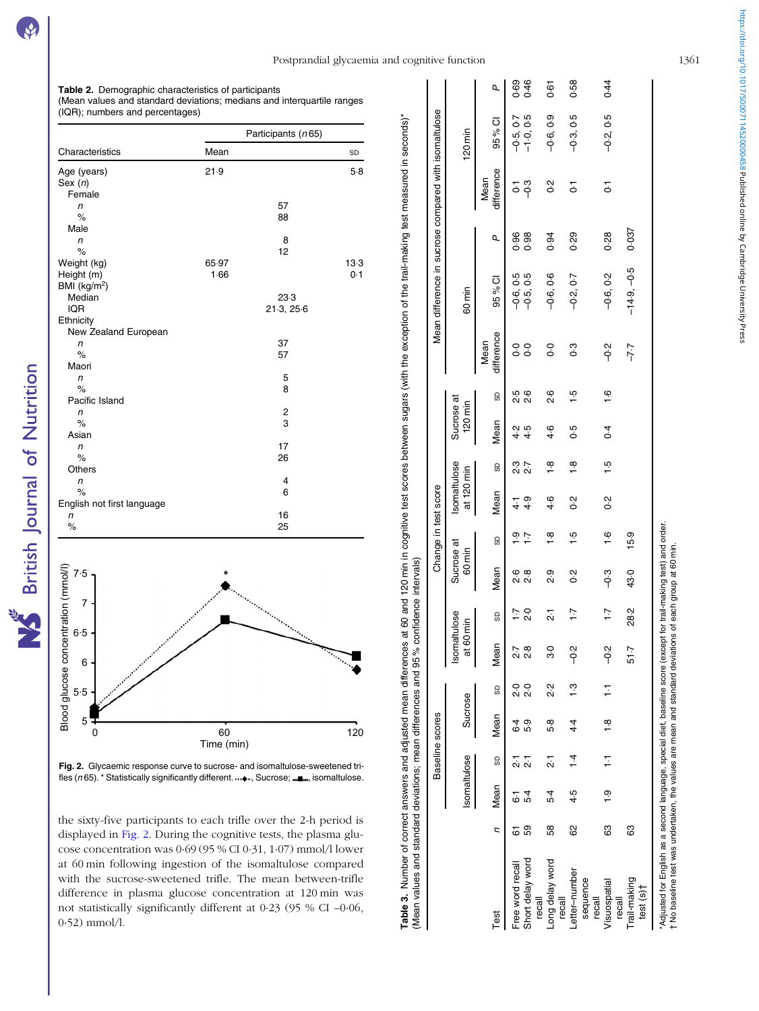<span id="page-4-0"></span>

Fig. 2. Glycaemic response curve to sucrose- and isomaltulose-sweetened trifles ( $n$ 65). \* Statistically significantly different.  $...,$  Sucrose;  $\blacksquare$ , isomaltulose.

the sixty-five participants to each trifle over the 2-h period is displayed in Fig. 2. During the cognitive tests, the plasma glucose concentration was 0·69 (95 % CI 0·31, 1·07) mmol/l lower at 60 min following ingestion of the isomaltulose compared with the sucrose-sweetened trifle. The mean between-trifle difference in plasma glucose concentration at 120 min was not statistically significantly different at 0·23 (95 % CI –0·06, 0·52) mmol/l.

|                                        |         |              |               | Baseline scores      |        |                                 |                                |                      |                            | Change in test score              |               |                       |                 |                       |                          |              | Mean difference in sucrose compared with isomaltulose |                            |           |
|----------------------------------------|---------|--------------|---------------|----------------------|--------|---------------------------------|--------------------------------|----------------------|----------------------------|-----------------------------------|---------------|-----------------------|-----------------|-----------------------|--------------------------|--------------|-------------------------------------------------------|----------------------------|-----------|
|                                        |         | Isomaltulose |               | Sucrose              |        | Isomaltulose<br>$\frac{1}{6}$   | 50 min                         | Sucrose at<br>60 min |                            | <b>Isomaltulose</b><br>at 120 min |               | Sucrose at<br>120 min |                 |                       | 60 min                   |              |                                                       | $120$ min                  |           |
| Test                                   | ς       | Mean         | GD            | Mean                 | SD     | Mean                            | G                              | Mean                 | GD                         | Mean                              | G             | Mean                  | G               | difference<br>Mean    | 95 % Cl                  | Q,           | difference<br>Mean                                    | 95 % Cl                    | Q.        |
| Short delay word<br>Free word recal    | 59<br>6 | $5-4$<br>ڞؘ  |               | 5.9<br>$\frac{6}{4}$ | o.c    | $\frac{8}{2}$<br>$\overline{5}$ | $\frac{0}{2}$<br>$\ddot{ }$ :1 | စ် စ<br>ပု ပု        | <u>ှ</u><br>$\overline{1}$ | 4.9<br>.<br>न                     | 2.7<br>2.7    | 4.5<br>$4\cdot 2$     | 5<br>2 5<br>2 7 | o.o<br>$\overline{0}$ | $-0.5, 0.5$<br>-0.6, 0.5 | 0.96<br>0.98 | ှိ<br>$\overline{5}$                                  | $-1.0, 0.5$<br>$-0.5, 0.7$ | 8<br>0.46 |
| Long delay word<br>recall              | 58      | 5.4          | بر            | 5.8                  | ي<br>2 | ვე                              | ΣÎ                             | 9.9                  | $\frac{8}{1}$              | 4.6                               | $\frac{8}{1}$ | $\frac{4}{3}$         | 9.6             | o.o                   | $-0.6, 0.6$              | 0.94         | ς<br>Ο                                                | $-0.6, 0.9$                | <b>61</b> |
| Letter-number<br>rel                   | 8       | 4.5          | $\frac{1}{4}$ | $4\overline{4}$      | ္      | -0.2                            | 1.7                            | ς<br>Ο               | $\frac{1}{2}$              | ς<br>Ο                            | $\frac{1}{2}$ | 6.5                   | $\frac{1}{2}$   | c.c                   | $-0.2, 0.7$              | 0.29         | 5                                                     | $-0.3, 0.5$                | 0.58      |
| sequence<br>Visuospatial<br>recall     | 83      | စ္           | Ξ             | $\frac{8}{1}$        | ፡      | ი<br>ა                          | $\ddot{ }$ :                   | -ი<br>ს              | $\frac{6}{1}$              | Ο.<br>Ο                           | $\frac{1}{2}$ | $\overline{6}$        | $\frac{6}{1}$   | -0.2                  | $-0.6, 0.2$              | 0.28         | $\overline{c}$                                        | $-0.2, 0.5$                | 0.44      |
| Trail-making<br>test $(s)$ †<br>recall | 83      |              |               |                      |        | 51.7                            | 28.2                           | 43.0                 | 15.9                       |                                   |               |                       |                 | $-7.7$                | $-14.9, -0.5$            | 0.037        |                                                       |                            |           |

group at 60 min. No baseline test was undertaken, the values are mean and standard deviations of each group at 60 min. 5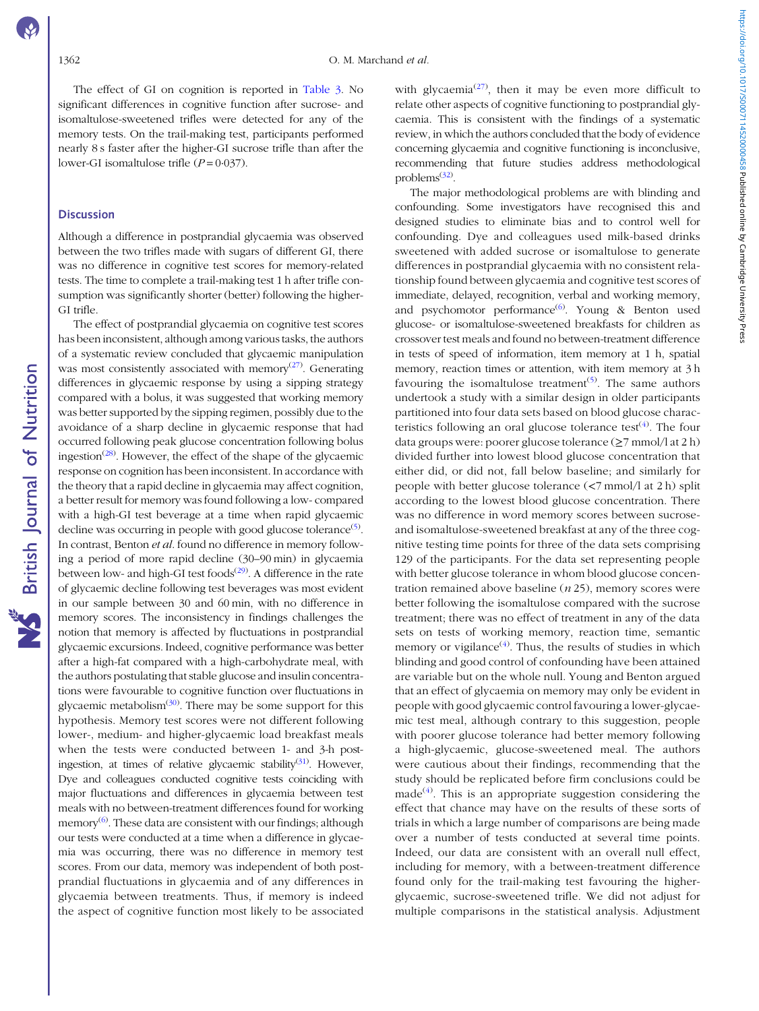**NS** British Journal of Nutrition

The effect of GI on cognition is reported in [Table 3.](#page-4-0) No significant differences in cognitive function after sucrose- and isomaltulose-sweetened trifles were detected for any of the memory tests. On the trail-making test, participants performed nearly 8 s faster after the higher-GI sucrose trifle than after the lower-GI isomaltulose trifle  $(P=0.037)$ .

#### **Discussion**

Although a difference in postprandial glycaemia was observed between the two trifles made with sugars of different GI, there was no difference in cognitive test scores for memory-related tests. The time to complete a trail-making test 1 h after trifle consumption was significantly shorter (better) following the higher-GI trifle.

The effect of postprandial glycaemia on cognitive test scores has been inconsistent, although among various tasks, the authors of a systematic review concluded that glycaemic manipulation was most consistently associated with memory<sup>[\(27](#page-6-0))</sup>. Generating differences in glycaemic response by using a sipping strategy compared with a bolus, it was suggested that working memory was better supported by the sipping regimen, possibly due to the avoidance of a sharp decline in glycaemic response that had occurred following peak glucose concentration following bolus ingestion<sup>[\(28\)](#page-7-0)</sup>. However, the effect of the shape of the glycaemic response on cognition has been inconsistent. In accordance with the theory that a rapid decline in glycaemia may affect cognition, a better result for memory was found following a low- compared with a high-GI test beverage at a time when rapid glycaemic decline was occurring in people with good glucose tolerance<sup>([5\)](#page-6-0)</sup>. In contrast, Benton et al. found no difference in memory following a period of more rapid decline (30–90 min) in glycaemia between low- and high-GI test foods<sup>[\(29](#page-7-0))</sup>. A difference in the rate of glycaemic decline following test beverages was most evident in our sample between 30 and 60 min, with no difference in memory scores. The inconsistency in findings challenges the notion that memory is affected by fluctuations in postprandial glycaemic excursions. Indeed, cognitive performance was better after a high-fat compared with a high-carbohydrate meal, with the authors postulating that stable glucose and insulin concentrations were favourable to cognitive function over fluctuations in glycaemic metabolism<sup>[\(30\)](#page-7-0)</sup>. There may be some support for this hypothesis. Memory test scores were not different following lower-, medium- and higher-glycaemic load breakfast meals when the tests were conducted between 1- and 3-h post-ingestion, at times of relative glycaemic stability<sup>[\(31](#page-7-0))</sup>. However, Dye and colleagues conducted cognitive tests coinciding with major fluctuations and differences in glycaemia between test meals with no between-treatment differences found for working memory<sup>([6\)](#page-6-0)</sup>. These data are consistent with our findings; although our tests were conducted at a time when a difference in glycaemia was occurring, there was no difference in memory test scores. From our data, memory was independent of both postprandial fluctuations in glycaemia and of any differences in glycaemia between treatments. Thus, if memory is indeed the aspect of cognitive function most likely to be associated

with glycaemia<sup>[\(27\)](#page-6-0)</sup>, then it may be even more difficult to relate other aspects of cognitive functioning to postprandial glycaemia. This is consistent with the findings of a systematic review, in which the authors concluded that the body of evidence concerning glycaemia and cognitive functioning is inconclusive, recommending that future studies address methodological problems<sup>[\(32](#page-7-0))</sup>.

The major methodological problems are with blinding and confounding. Some investigators have recognised this and designed studies to eliminate bias and to control well for confounding. Dye and colleagues used milk-based drinks sweetened with added sucrose or isomaltulose to generate differences in postprandial glycaemia with no consistent relationship found between glycaemia and cognitive test scores of immediate, delayed, recognition, verbal and working memory, and psychomotor performance<sup>[\(6](#page-6-0))</sup>. Young & Benton used glucose- or isomaltulose-sweetened breakfasts for children as crossover test meals and found no between-treatment difference in tests of speed of information, item memory at 1 h, spatial memory, reaction times or attention, with item memory at 3 h favouring the isomaltulose treatment<sup>[\(5](#page-6-0))</sup>. The same authors undertook a study with a similar design in older participants partitioned into four data sets based on blood glucose characteristics following an oral glucose tolerance test<sup> $(4)$  $(4)$  $(4)$ </sup>. The four data groups were: poorer glucose tolerance  $(\geq 7 \text{ mmol}/\text{l at 2 h})$ divided further into lowest blood glucose concentration that either did, or did not, fall below baseline; and similarly for people with better glucose tolerance (<7 mmol/l at 2 h) split according to the lowest blood glucose concentration. There was no difference in word memory scores between sucroseand isomaltulose-sweetened breakfast at any of the three cognitive testing time points for three of the data sets comprising 129 of the participants. For the data set representing people with better glucose tolerance in whom blood glucose concentration remained above baseline  $(n 25)$ , memory scores were better following the isomaltulose compared with the sucrose treatment; there was no effect of treatment in any of the data sets on tests of working memory, reaction time, semantic memory or vigilance<sup> $(4)$  $(4)$ </sup>. Thus, the results of studies in which blinding and good control of confounding have been attained are variable but on the whole null. Young and Benton argued that an effect of glycaemia on memory may only be evident in people with good glycaemic control favouring a lower-glycaemic test meal, although contrary to this suggestion, people with poorer glucose tolerance had better memory following a high-glycaemic, glucose-sweetened meal. The authors were cautious about their findings, recommending that the study should be replicated before firm conclusions could be made $^{(4)}$  $^{(4)}$  $^{(4)}$ . This is an appropriate suggestion considering the effect that chance may have on the results of these sorts of trials in which a large number of comparisons are being made over a number of tests conducted at several time points. Indeed, our data are consistent with an overall null effect, including for memory, with a between-treatment difference found only for the trail-making test favouring the higherglycaemic, sucrose-sweetened trifle. We did not adjust for multiple comparisons in the statistical analysis. Adjustment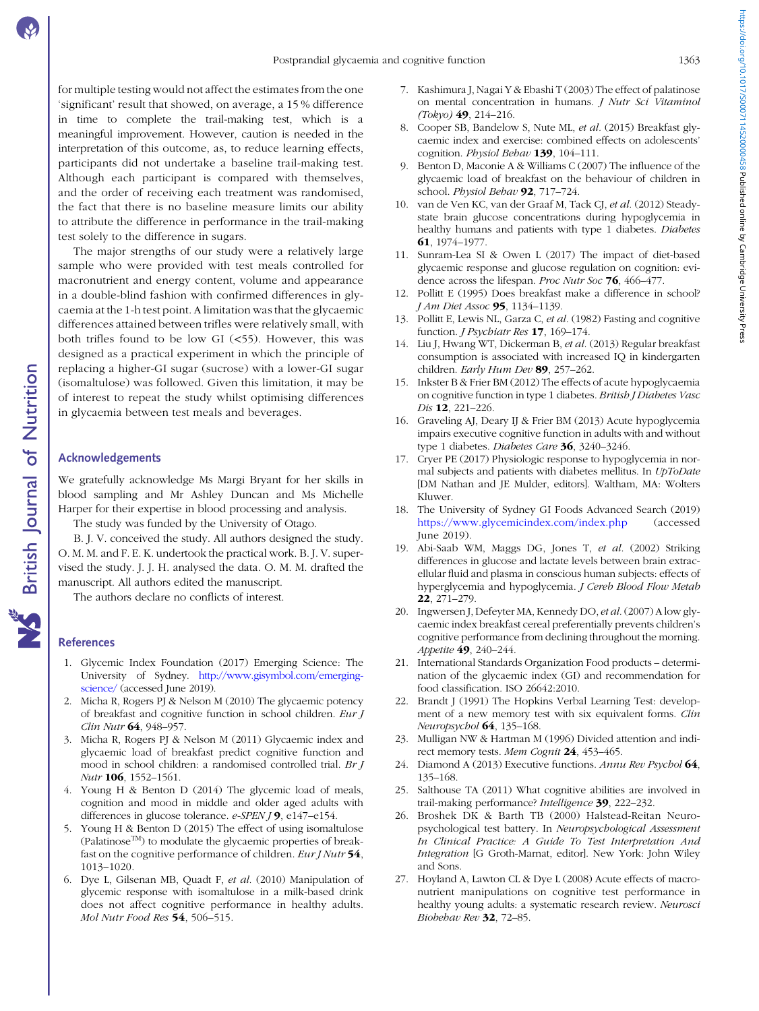<span id="page-6-0"></span>for multiple testing would not affect the estimates from the one 'significant' result that showed, on average, a 15 % difference in time to complete the trail-making test, which is a meaningful improvement. However, caution is needed in the interpretation of this outcome, as, to reduce learning effects, participants did not undertake a baseline trail-making test. Although each participant is compared with themselves, and the order of receiving each treatment was randomised, the fact that there is no baseline measure limits our ability to attribute the difference in performance in the trail-making test solely to the difference in sugars.

The major strengths of our study were a relatively large sample who were provided with test meals controlled for macronutrient and energy content, volume and appearance in a double-blind fashion with confirmed differences in glycaemia at the 1-h test point. A limitation was that the glycaemic differences attained between trifles were relatively small, with both trifles found to be low GI  $(<55)$ . However, this was designed as a practical experiment in which the principle of replacing a higher-GI sugar (sucrose) with a lower-GI sugar (isomaltulose) was followed. Given this limitation, it may be of interest to repeat the study whilst optimising differences in glycaemia between test meals and beverages.

### Acknowledgements

We gratefully acknowledge Ms Margi Bryant for her skills in blood sampling and Mr Ashley Duncan and Ms Michelle Harper for their expertise in blood processing and analysis.

The study was funded by the University of Otago.

B. J. V. conceived the study. All authors designed the study. O. M. M. and F. E. K. undertook the practical work. B. J. V. supervised the study. J. J. H. analysed the data. O. M. M. drafted the manuscript. All authors edited the manuscript.

The authors declare no conflicts of interest.

### References

- 1. Glycemic Index Foundation (2017) Emerging Science: The University of Sydney. [http://www.gisymbol.com/emerging](http://www.gisymbol.com/emerging-science/)[science/](http://www.gisymbol.com/emerging-science/) (accessed June 2019).
- 2. Micha R, Rogers PJ & Nelson M (2010) The glycaemic potency of breakfast and cognitive function in school children. Eur J Clin Nutr 64, 948–957.
- 3. Micha R, Rogers PJ & Nelson M (2011) Glycaemic index and glycaemic load of breakfast predict cognitive function and mood in school children: a randomised controlled trial. Br J Nutr 106, 1552–1561.
- 4. Young H & Benton D (2014) The glycemic load of meals, cognition and mood in middle and older aged adults with differences in glucose tolerance. *e-SPEN* **/ 9**, e147–e154.
- 5. Young H & Benton D (2015) The effect of using isomaltulose (PalatinoseTM) to modulate the glycaemic properties of breakfast on the cognitive performance of children. Eur J Nutr 54, 1013–1020.
- 6. Dye L, Gilsenan MB, Quadt F, et al. (2010) Manipulation of glycemic response with isomaltulose in a milk-based drink does not affect cognitive performance in healthy adults. Mol Nutr Food Res 54, 506–515.
- 7. Kashimura J, Nagai Y & Ebashi T (2003) The effect of palatinose on mental concentration in humans. J Nutr Sci Vitaminol  $(Toky)$  49, 214-216.
- 8. Cooper SB, Bandelow S, Nute ML, et al. (2015) Breakfast glycaemic index and exercise: combined effects on adolescents' cognition. Physiol Behav 139, 104-111.
- 9. Benton D, Maconie A & Williams C (2007) The influence of the glycaemic load of breakfast on the behaviour of children in school. Physiol Behav 92, 717-724.
- 10. van de Ven KC, van der Graaf M, Tack CJ, et al. (2012) Steadystate brain glucose concentrations during hypoglycemia in healthy humans and patients with type 1 diabetes. Diabetes 61, 1974–1977.
- 11. Sunram-Lea SI & Owen L (2017) The impact of diet-based glycaemic response and glucose regulation on cognition: evidence across the lifespan. Proc Nutr Soc 76, 466-477.
- 12. Pollitt E (1995) Does breakfast make a difference in school? J Am Diet Assoc 95, 1134–1139.
- 13. Pollitt E, Lewis NL, Garza C, et al. (1982) Fasting and cognitive function. *J Psychiatr Res* 17, 169-174.
- 14. Liu J, Hwang WT, Dickerman B, et al. (2013) Regular breakfast consumption is associated with increased IQ in kindergarten children. Early Hum Dev 89, 257-262.
- 15. Inkster B & Frier BM (2012) The effects of acute hypoglycaemia on cognitive function in type 1 diabetes. British J Diabetes Vasc Dis 12, 221–226.
- 16. Graveling AJ, Deary IJ & Frier BM (2013) Acute hypoglycemia impairs executive cognitive function in adults with and without type 1 diabetes. Diabetes Care 36, 3240-3246.
- 17. Cryer PE (2017) Physiologic response to hypoglycemia in normal subjects and patients with diabetes mellitus. In UpToDate [DM Nathan and JE Mulder, editors]. Waltham, MA: Wolters Kluwer.
- 18. The University of Sydney GI Foods Advanced Search (2019) <https://www.glycemicindex.com/index.php> (accessed June 2019).
- 19. Abi-Saab WM, Maggs DG, Jones T, et al. (2002) Striking differences in glucose and lactate levels between brain extracellular fluid and plasma in conscious human subjects: effects of hyperglycemia and hypoglycemia. J Cereb Blood Flow Metab 22, 271–279.
- 20. Ingwersen J, Defeyter MA, Kennedy DO, et al. (2007) A low glycaemic index breakfast cereal preferentially prevents children's cognitive performance from declining throughout the morning. Appetite 49, 240–244.
- 21. International Standards Organization Food products determination of the glycaemic index (GI) and recommendation for food classification. ISO 26642:2010.
- 22. Brandt J (1991) The Hopkins Verbal Learning Test: development of a new memory test with six equivalent forms. Clin Neuropsychol **64**, 135–168.
- 23. Mulligan NW & Hartman M (1996) Divided attention and indirect memory tests. Mem Cognit 24, 453-465.
- 24. Diamond A (2013) Executive functions. Annu Rev Psychol 64, 135–168.
- 25. Salthouse TA (2011) What cognitive abilities are involved in trail-making performance? Intelligence 39, 222-232.
- 26. Broshek DK & Barth TB (2000) Halstead-Reitan Neuropsychological test battery. In Neuropsychological Assessment In Clinical Practice: A Guide To Test Interpretation And Integration [G Groth-Marnat, editor]. New York: John Wiley and Sons.
- 27. Hoyland A, Lawton CL & Dye L (2008) Acute effects of macronutrient manipulations on cognitive test performance in healthy young adults: a systematic research review. Neurosci Biobehav Rev 32, 72–85.